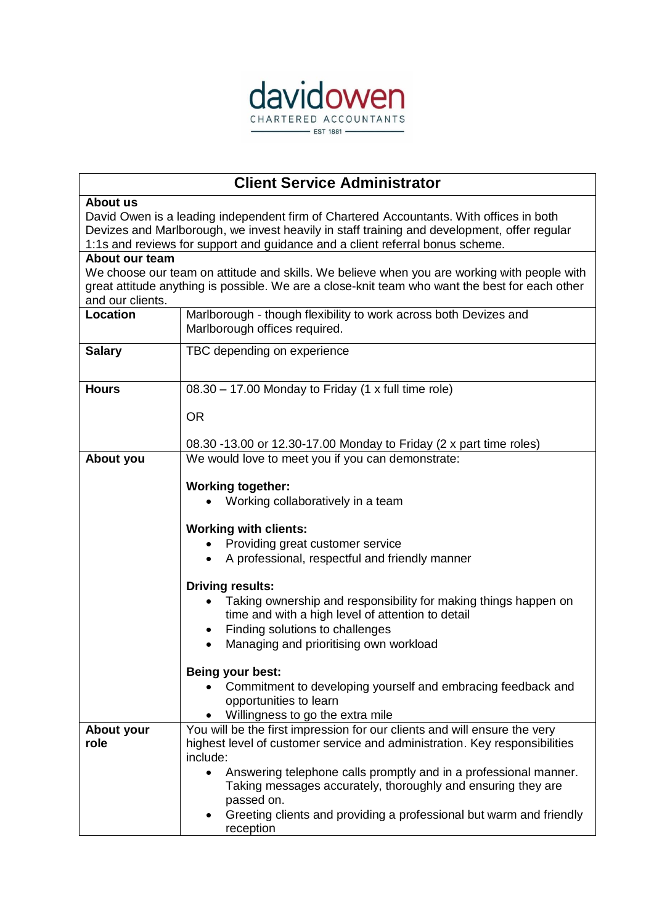

## **Client Service Administrator**

## **About us**

David Owen is a leading independent firm of Chartered Accountants. With offices in both Devizes and Marlborough, we invest heavily in staff training and development, offer regular 1:1s and reviews for support and guidance and a client referral bonus scheme.

## **About our team**

We choose our team on attitude and skills. We believe when you are working with people with great attitude anything is possible. We are a close-knit team who want the best for each other and our clients.

| ana var viivno.    |                                                                                                                                                                     |
|--------------------|---------------------------------------------------------------------------------------------------------------------------------------------------------------------|
| Location           | Marlborough - though flexibility to work across both Devizes and<br>Marlborough offices required.                                                                   |
| <b>Salary</b>      | TBC depending on experience                                                                                                                                         |
| <b>Hours</b>       | 08.30 - 17.00 Monday to Friday (1 x full time role)<br><b>OR</b>                                                                                                    |
|                    | 08.30 -13.00 or 12.30-17.00 Monday to Friday (2 x part time roles)                                                                                                  |
| About you          | We would love to meet you if you can demonstrate:                                                                                                                   |
|                    | <b>Working together:</b><br>Working collaboratively in a team                                                                                                       |
|                    | <b>Working with clients:</b>                                                                                                                                        |
|                    | Providing great customer service<br>A professional, respectful and friendly manner                                                                                  |
|                    | <b>Driving results:</b>                                                                                                                                             |
|                    | Taking ownership and responsibility for making things happen on<br>time and with a high level of attention to detail                                                |
|                    | Finding solutions to challenges<br>Managing and prioritising own workload                                                                                           |
|                    | Being your best:                                                                                                                                                    |
|                    | Commitment to developing yourself and embracing feedback and<br>opportunities to learn<br>Willingness to go the extra mile                                          |
| About your<br>role | You will be the first impression for our clients and will ensure the very<br>highest level of customer service and administration. Key responsibilities<br>include: |
|                    | Answering telephone calls promptly and in a professional manner.<br>Taking messages accurately, thoroughly and ensuring they are<br>passed on.                      |
|                    | Greeting clients and providing a professional but warm and friendly<br>reception                                                                                    |